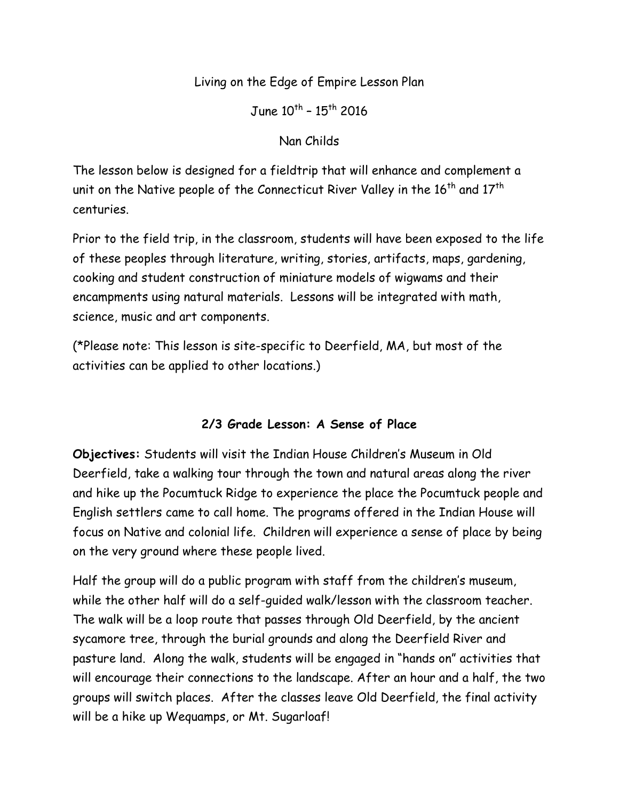## Living on the Edge of Empire Lesson Plan

June  $10^{th}$  -  $15^{th}$  2016

#### Nan Childs

The lesson below is designed for a fieldtrip that will enhance and complement a unit on the Native people of the Connecticut River Valley in the 16<sup>th</sup> and 17<sup>th</sup> centuries.

Prior to the field trip, in the classroom, students will have been exposed to the life of these peoples through literature, writing, stories, artifacts, maps, gardening, cooking and student construction of miniature models of wigwams and their encampments using natural materials. Lessons will be integrated with math, science, music and art components.

(\*Please note: This lesson is site-specific to Deerfield, MA, but most of the activities can be applied to other locations.)

## **2/3 Grade Lesson: A Sense of Place**

**Objectives:** Students will visit the Indian House Children's Museum in Old Deerfield, take a walking tour through the town and natural areas along the river and hike up the Pocumtuck Ridge to experience the place the Pocumtuck people and English settlers came to call home. The programs offered in the Indian House will focus on Native and colonial life. Children will experience a sense of place by being on the very ground where these people lived.

Half the group will do a public program with staff from the children's museum, while the other half will do a self-guided walk/lesson with the classroom teacher. The walk will be a loop route that passes through Old Deerfield, by the ancient sycamore tree, through the burial grounds and along the Deerfield River and pasture land. Along the walk, students will be engaged in "hands on" activities that will encourage their connections to the landscape. After an hour and a half, the two groups will switch places. After the classes leave Old Deerfield, the final activity will be a hike up Wequamps, or Mt. Sugarloaf!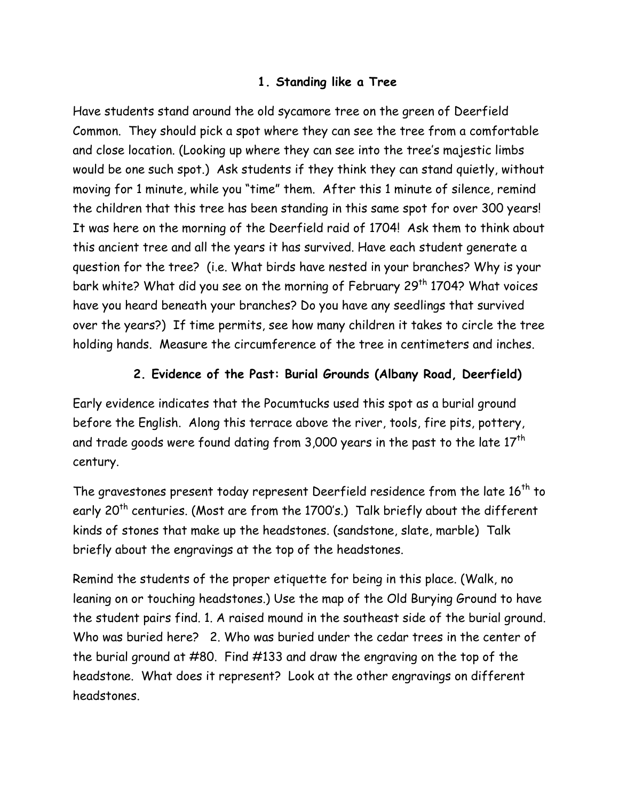#### **1. Standing like a Tree**

Have students stand around the old sycamore tree on the green of Deerfield Common. They should pick a spot where they can see the tree from a comfortable and close location. (Looking up where they can see into the tree's majestic limbs would be one such spot.) Ask students if they think they can stand quietly, without moving for 1 minute, while you "time" them. After this 1 minute of silence, remind the children that this tree has been standing in this same spot for over 300 years! It was here on the morning of the Deerfield raid of 1704! Ask them to think about this ancient tree and all the years it has survived. Have each student generate a question for the tree? (i.e. What birds have nested in your branches? Why is your bark white? What did you see on the morning of February 29<sup>th</sup> 1704? What voices have you heard beneath your branches? Do you have any seedlings that survived over the years?) If time permits, see how many children it takes to circle the tree holding hands. Measure the circumference of the tree in centimeters and inches.

## **2. Evidence of the Past: Burial Grounds (Albany Road, Deerfield)**

Early evidence indicates that the Pocumtucks used this spot as a burial ground before the English. Along this terrace above the river, tools, fire pits, pottery, and trade goods were found dating from 3,000 years in the past to the late  $17<sup>th</sup>$ century.

The gravestones present today represent Deerfield residence from the late  $16<sup>th</sup>$  to early 20<sup>th</sup> centuries. (Most are from the 1700's.) Talk briefly about the different kinds of stones that make up the headstones. (sandstone, slate, marble) Talk briefly about the engravings at the top of the headstones.

Remind the students of the proper etiquette for being in this place. (Walk, no leaning on or touching headstones.) Use the map of the Old Burying Ground to have the student pairs find. 1. A raised mound in the southeast side of the burial ground. Who was buried here? 2. Who was buried under the cedar trees in the center of the burial ground at #80. Find #133 and draw the engraving on the top of the headstone. What does it represent? Look at the other engravings on different headstones.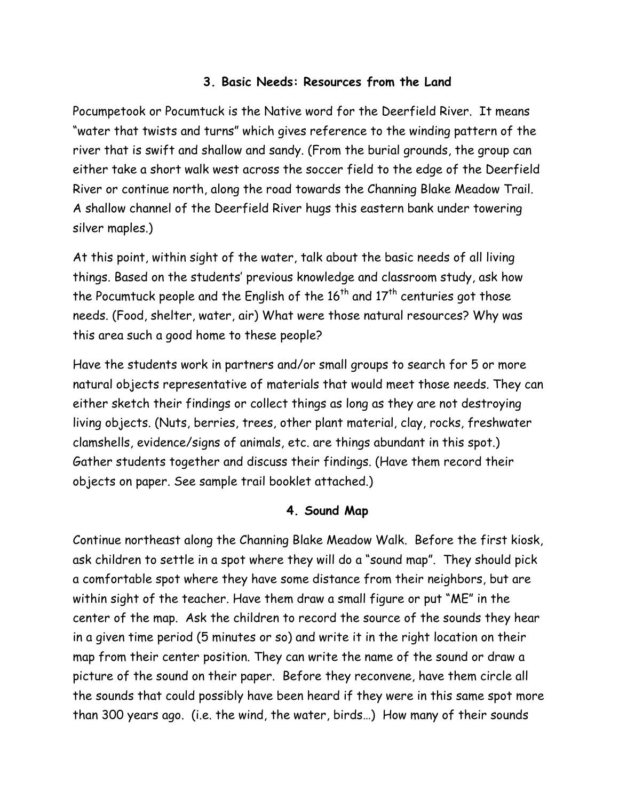#### **3. Basic Needs: Resources from the Land**

Pocumpetook or Pocumtuck is the Native word for the Deerfield River. It means "water that twists and turns" which gives reference to the winding pattern of the river that is swift and shallow and sandy. (From the burial grounds, the group can either take a short walk west across the soccer field to the edge of the Deerfield River or continue north, along the road towards the Channing Blake Meadow Trail. A shallow channel of the Deerfield River hugs this eastern bank under towering silver maples.)

At this point, within sight of the water, talk about the basic needs of all living things. Based on the students' previous knowledge and classroom study, ask how the Pocumtuck people and the English of the  $16^{th}$  and  $17^{th}$  centuries got those needs. (Food, shelter, water, air) What were those natural resources? Why was this area such a good home to these people?

Have the students work in partners and/or small groups to search for 5 or more natural objects representative of materials that would meet those needs. They can either sketch their findings or collect things as long as they are not destroying living objects. (Nuts, berries, trees, other plant material, clay, rocks, freshwater clamshells, evidence/signs of animals, etc. are things abundant in this spot.) Gather students together and discuss their findings. (Have them record their objects on paper. See sample trail booklet attached.)

#### **4. Sound Map**

Continue northeast along the Channing Blake Meadow Walk. Before the first kiosk, ask children to settle in a spot where they will do a "sound map". They should pick a comfortable spot where they have some distance from their neighbors, but are within sight of the teacher. Have them draw a small figure or put "ME" in the center of the map. Ask the children to record the source of the sounds they hear in a given time period (5 minutes or so) and write it in the right location on their map from their center position. They can write the name of the sound or draw a picture of the sound on their paper. Before they reconvene, have them circle all the sounds that could possibly have been heard if they were in this same spot more than 300 years ago. (i.e. the wind, the water, birds…) How many of their sounds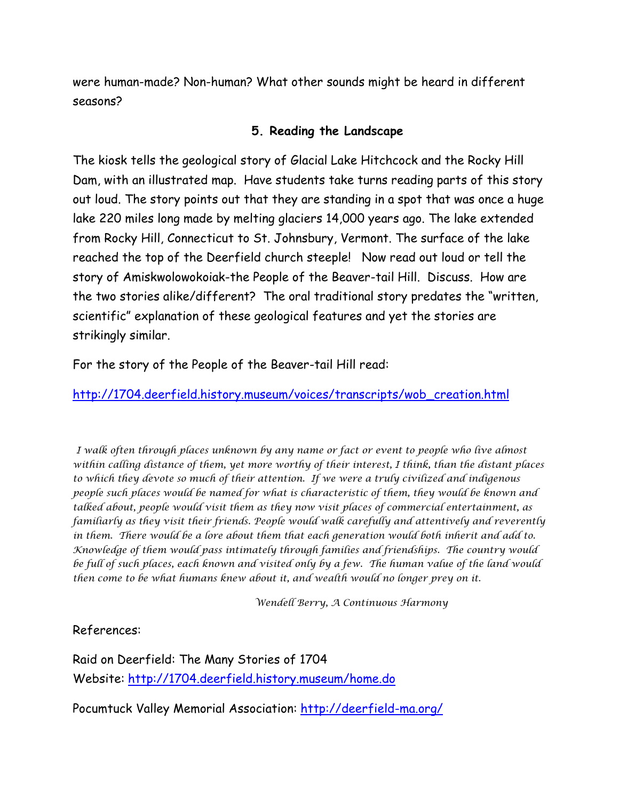were human-made? Non-human? What other sounds might be heard in different seasons?

## **5. Reading the Landscape**

The kiosk tells the geological story of Glacial Lake Hitchcock and the Rocky Hill Dam, with an illustrated map. Have students take turns reading parts of this story out loud. The story points out that they are standing in a spot that was once a huge lake 220 miles long made by melting glaciers 14,000 years ago. The lake extended from Rocky Hill, Connecticut to St. Johnsbury, Vermont. The surface of the lake reached the top of the Deerfield church steeple! Now read out loud or tell the story of Amiskwolowokoiak-the People of the Beaver-tail Hill. Discuss. How are the two stories alike/different? The oral traditional story predates the "written, scientific" explanation of these geological features and yet the stories are strikingly similar.

For the story of the People of the Beaver-tail Hill read:

[http://1704.deerfield.history.museum/voices/transcripts/wob\\_creation.html](http://1704.deerfield.history.museum/voices/transcripts/wob_creation.html)

*I walk often through places unknown by any name or fact or event to people who live almost within calling distance of them, yet more worthy of their interest, I think, than the distant places to which they devote so much of their attention. If we were a truly civilized and indigenous people such places would be named for what is characteristic of them, they would be known and talked about, people would visit them as they now visit places of commercial entertainment, as familiarly as they visit their friends. People would walk carefully and attentively and reverently in them. There would be a lore about them that each generation would both inherit and add to. Knowledge of them would pass intimately through families and friendships. The country would be full of such places, each known and visited only by a few. The human value of the land would then come to be what humans knew about it, and wealth would no longer prey on it.*

*Wendell Berry, A Continuous Harmony*

#### References:

Raid on Deerfield: The Many Stories of 1704 Website: <http://1704.deerfield.history.museum/home.do>

Pocumtuck Valley Memorial Association: <http://deerfield-ma.org/>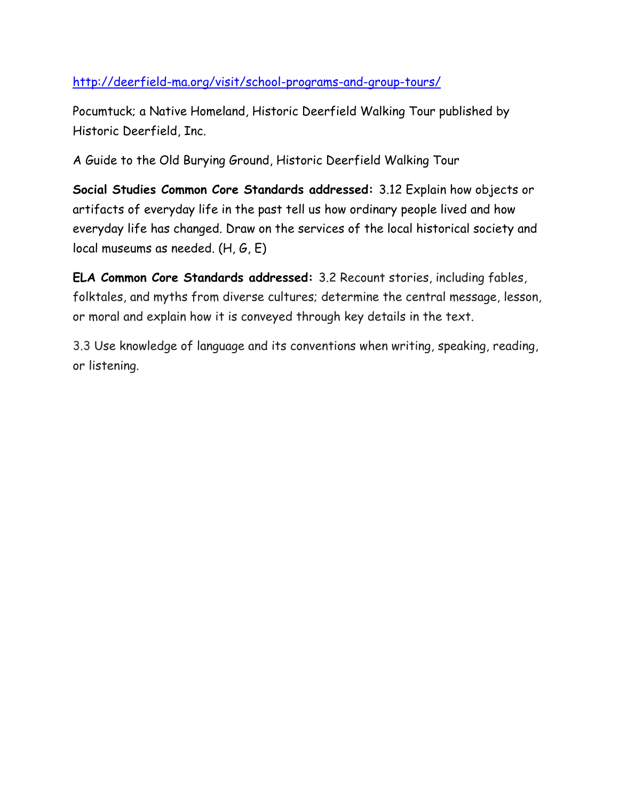# <http://deerfield-ma.org/visit/school-programs-and-group-tours/>

Pocumtuck; a Native Homeland, Historic Deerfield Walking Tour published by Historic Deerfield, Inc.

A Guide to the Old Burying Ground, Historic Deerfield Walking Tour

**Social Studies Common Core Standards addressed:** 3.12 Explain how objects or artifacts of everyday life in the past tell us how ordinary people lived and how everyday life has changed. Draw on the services of the local historical society and local museums as needed. (H, G, E)

**ELA Common Core Standards addressed:** 3.2 Recount stories, including fables, folktales, and myths from diverse cultures; determine the central message, lesson, or moral and explain how it is conveyed through key details in the text.

[3.3](http://www.corestandards.org/ELA-Literacy/L/3/3/) Use knowledge of language and its conventions when writing, speaking, reading, or listening.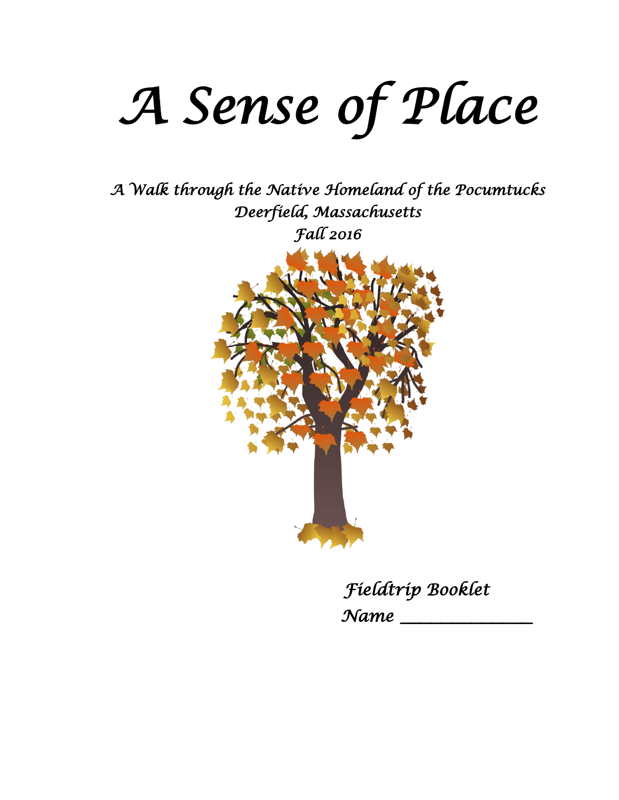# *A Sense of Place*

*A Walk through the Native Homeland of the Pocumtucks Deerfield, Massachusetts Fall 2016* 



 *Fieldtrip Booklet Name* **\_\_\_\_\_\_\_\_\_\_\_\_\_**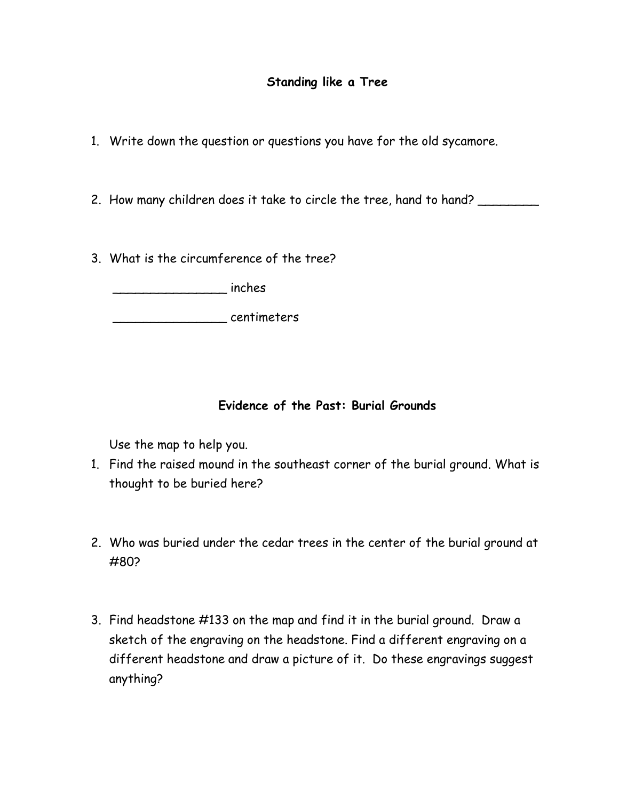- 1. Write down the question or questions you have for the old sycamore.
- 2. How many children does it take to circle the tree, hand to hand?
- 3. What is the circumference of the tree?

\_\_\_\_\_\_\_\_\_\_\_\_\_\_\_ inches

entimeters

## **Evidence of the Past: Burial Grounds**

Use the map to help you.

- 1. Find the raised mound in the southeast corner of the burial ground. What is thought to be buried here?
- 2. Who was buried under the cedar trees in the center of the burial ground at #80?
- 3. Find headstone #133 on the map and find it in the burial ground. Draw a sketch of the engraving on the headstone. Find a different engraving on a different headstone and draw a picture of it. Do these engravings suggest anything?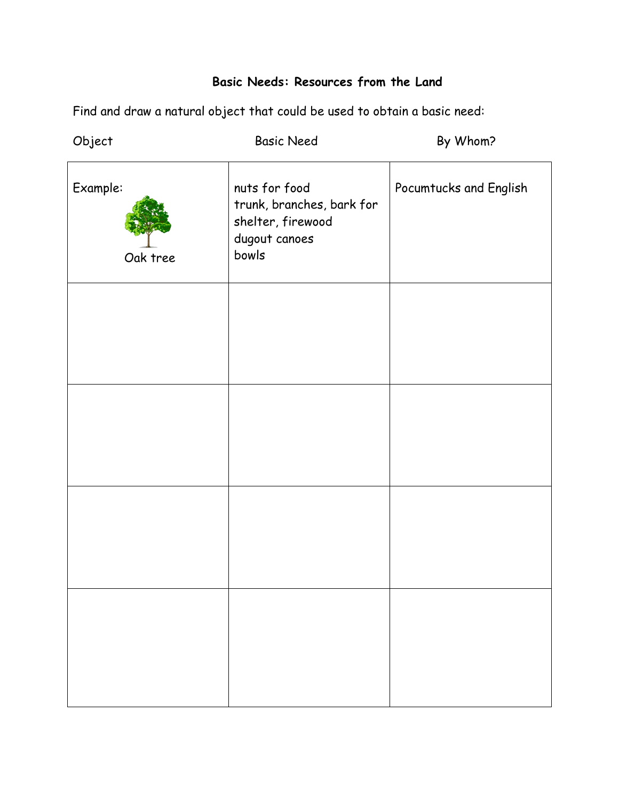# **Basic Needs: Resources from the Land**

Find and draw a natural object that could be used to obtain a basic need:

| Object               | <b>Basic Need</b>                                                                         | By Whom?               |
|----------------------|-------------------------------------------------------------------------------------------|------------------------|
| Example:<br>Oak tree | nuts for food<br>trunk, branches, bark for<br>shelter, firewood<br>dugout canoes<br>bowls | Pocumtucks and English |
|                      |                                                                                           |                        |
|                      |                                                                                           |                        |
|                      |                                                                                           |                        |
|                      |                                                                                           |                        |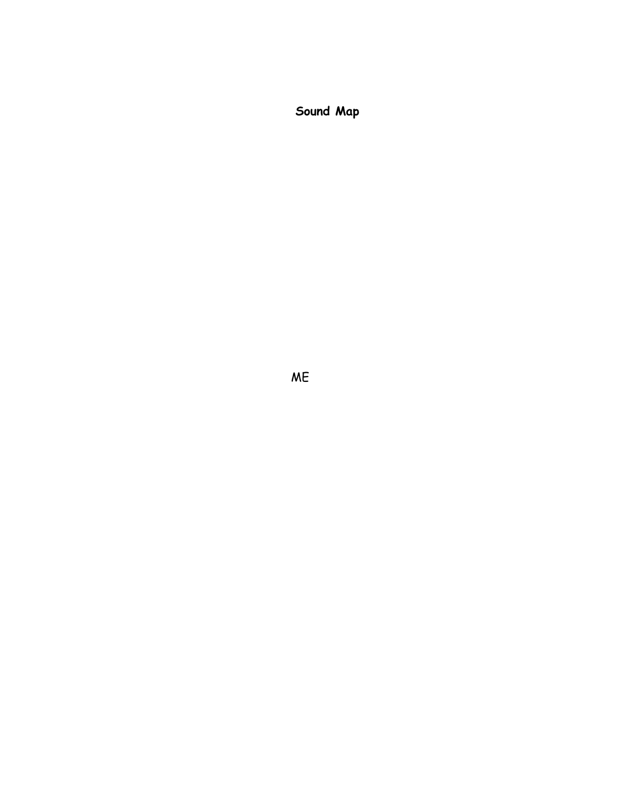**Sound Map**

ME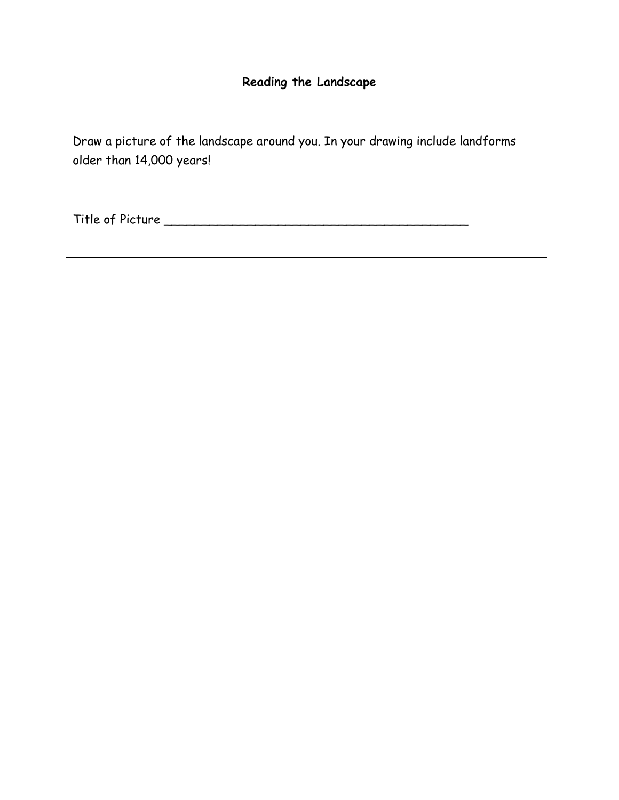# **Reading the Landscape**

Draw a picture of the landscape around you. In your drawing include landforms older than 14,000 years!

Title of Picture \_\_\_\_\_\_\_\_\_\_\_\_\_\_\_\_\_\_\_\_\_\_\_\_\_\_\_\_\_\_\_\_\_\_\_\_\_\_\_\_